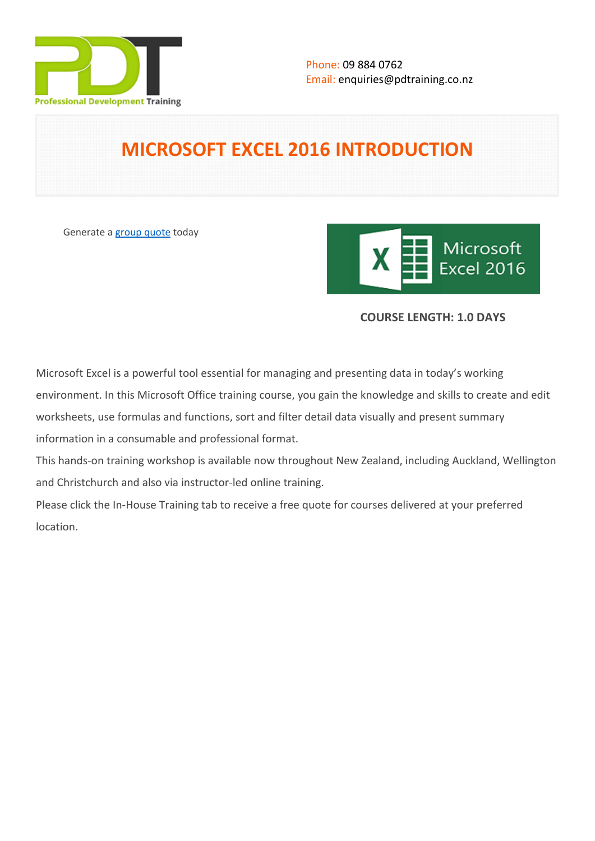

# **MICROSOFT EXCEL 2016 INTRODUCTION**

Generate a [group quote](https://pdtraining.co.nz/inhouse-training-quote?cse=MSE16IN) today



# **COURSE LENGTH: 1.0 DAYS**

Microsoft Excel is a powerful tool essential for managing and presenting data in today's working environment. In this Microsoft Office training course, you gain the knowledge and skills to create and edit worksheets, use formulas and functions, sort and filter detail data visually and present summary information in a consumable and professional format.

This hands-on training workshop is available now throughout New Zealand, including Auckland, Wellington and Christchurch and also via instructor-led online training.

Please click the In-House Training tab to receive a free quote for courses delivered at your preferred location.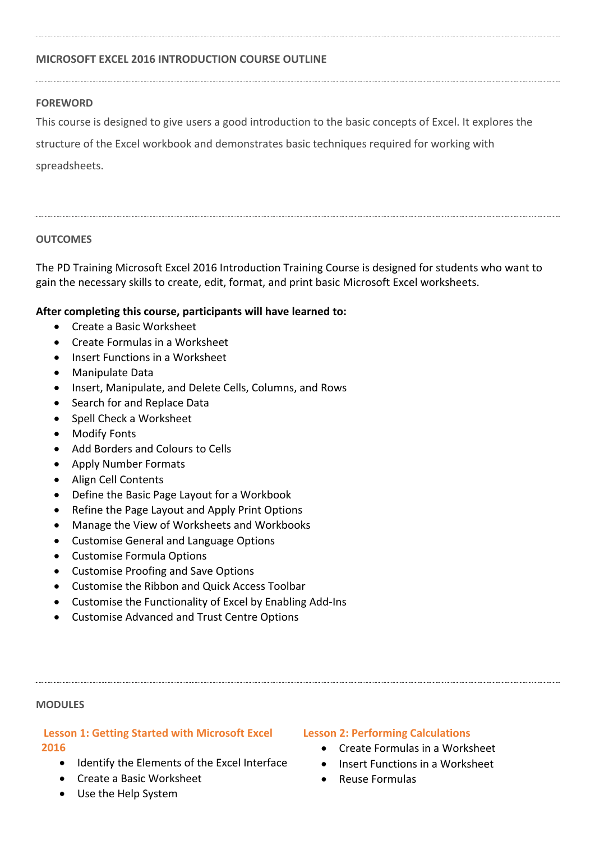# **MICROSOFT EXCEL 2016 INTRODUCTION COURSE OUTLINE**

## **FOREWORD**

This course is designed to give users a good introduction to the basic concepts of Excel. It explores the

structure of the Excel workbook and demonstrates basic techniques required for working with

spreadsheets.

## **OUTCOMES**

The PD Training Microsoft Excel 2016 Introduction Training Course is designed for students who want to gain the necessary skills to create, edit, format, and print basic Microsoft Excel worksheets.

## **After completing this course, participants will have learned to:**

- Create a Basic Worksheet
- Create Formulas in a Worksheet
- Insert Functions in a Worksheet
- Manipulate Data
- Insert, Manipulate, and Delete Cells, Columns, and Rows
- Search for and Replace Data
- Spell Check a Worksheet
- Modify Fonts
- Add Borders and Colours to Cells
- Apply Number Formats
- Align Cell Contents
- Define the Basic Page Layout for a Workbook
- Refine the Page Layout and Apply Print Options
- Manage the View of Worksheets and Workbooks
- Customise General and Language Options
- Customise Formula Options
- Customise Proofing and Save Options
- Customise the Ribbon and Quick Access Toolbar
- Customise the Functionality of Excel by Enabling Add-Ins
- Customise Advanced and Trust Centre Options

### **MODULES**

# **Lesson 1: Getting Started with Microsoft Excel 2016**

- Identify the Elements of the Excel Interface
- Create a Basic Worksheet
- Use the Help System

## **Lesson 2: Performing Calculations**

- Create Formulas in a Worksheet
- Insert Functions in a Worksheet
- Reuse Formulas